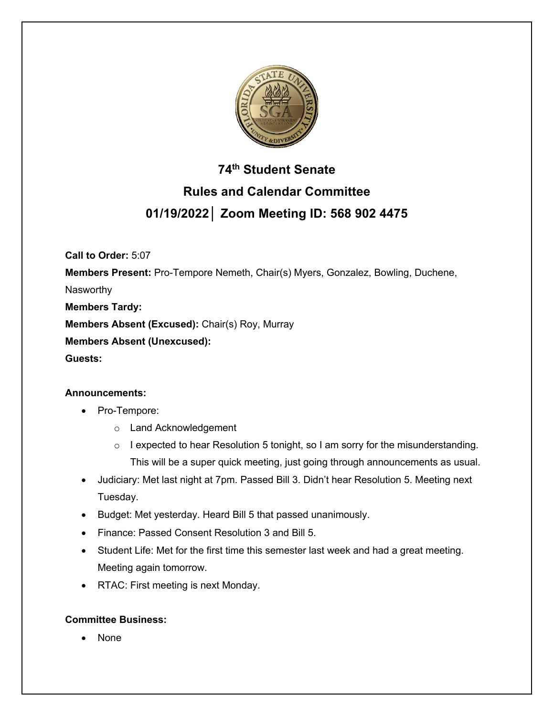

# **74th Student Senate Rules and Calendar Committee 01/19/2022│ Zoom Meeting ID: 568 902 4475**

**Call to Order:** 5:07

**Members Present:** Pro-Tempore Nemeth, Chair(s) Myers, Gonzalez, Bowling, Duchene,

Nasworthy

**Members Tardy:**

**Members Absent (Excused):** Chair(s) Roy, Murray

**Members Absent (Unexcused):**

**Guests:** 

# **Announcements:**

- Pro-Tempore:
	- o Land Acknowledgement
	- o I expected to hear Resolution 5 tonight, so I am sorry for the misunderstanding. This will be a super quick meeting, just going through announcements as usual.
- Judiciary: Met last night at 7pm. Passed Bill 3. Didn't hear Resolution 5. Meeting next Tuesday.
- Budget: Met yesterday. Heard Bill 5 that passed unanimously.
- Finance: Passed Consent Resolution 3 and Bill 5.
- Student Life: Met for the first time this semester last week and had a great meeting. Meeting again tomorrow.
- RTAC: First meeting is next Monday.

# **Committee Business:**

• None